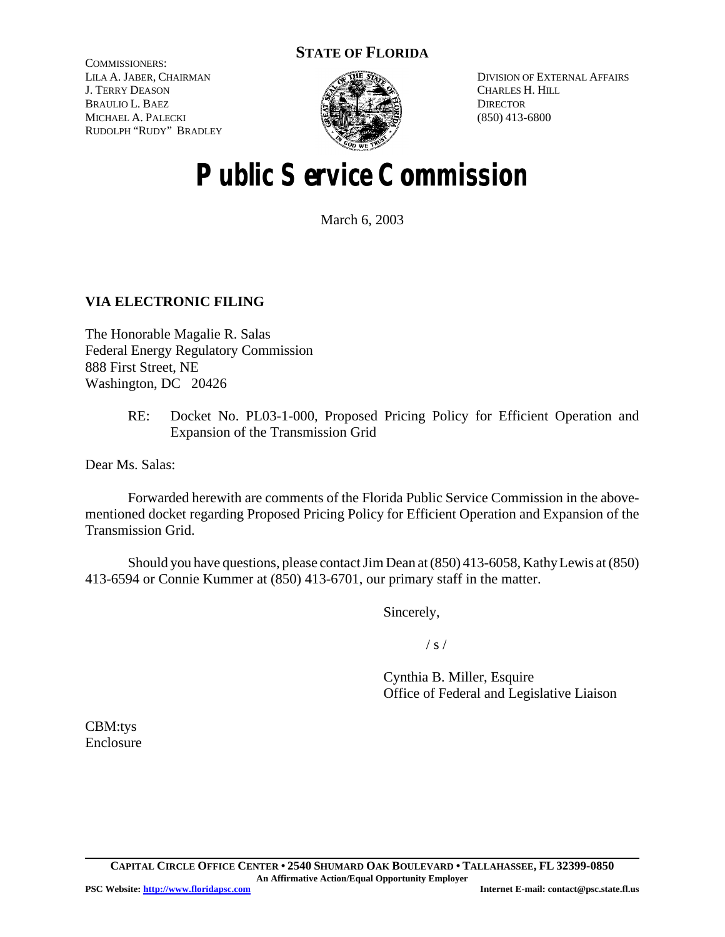# **STATE OF FLORIDA**

COMMISSIONERS: LILA A. JABER, CHAIRMAN J. TERRY DEASON BRAULIO L. BAEZ MICHAEL A. PALECKI RUDOLPH "RUDY" BRADLEY



DIVISION OF EXTERNAL AFFAIRS CHARLES H. HILL **DIRECTOR** (850) 413-6800

# **Public Service Commission**

March 6, 2003

## **VIA ELECTRONIC FILING**

The Honorable Magalie R. Salas Federal Energy Regulatory Commission 888 First Street, NE Washington, DC 20426

> RE: Docket No. PL03-1-000, Proposed Pricing Policy for Efficient Operation and Expansion of the Transmission Grid

Dear Ms. Salas:

Forwarded herewith are comments of the Florida Public Service Commission in the abovementioned docket regarding Proposed Pricing Policy for Efficient Operation and Expansion of the Transmission Grid.

Should you have questions, please contactJimDean at(850) 413-6058, KathyLewis at(850) 413-6594 or Connie Kummer at (850) 413-6701, our primary staff in the matter.

Sincerely,

/ s /

Cynthia B. Miller, Esquire Office of Federal and Legislative Liaison

CBM:tys Enclosure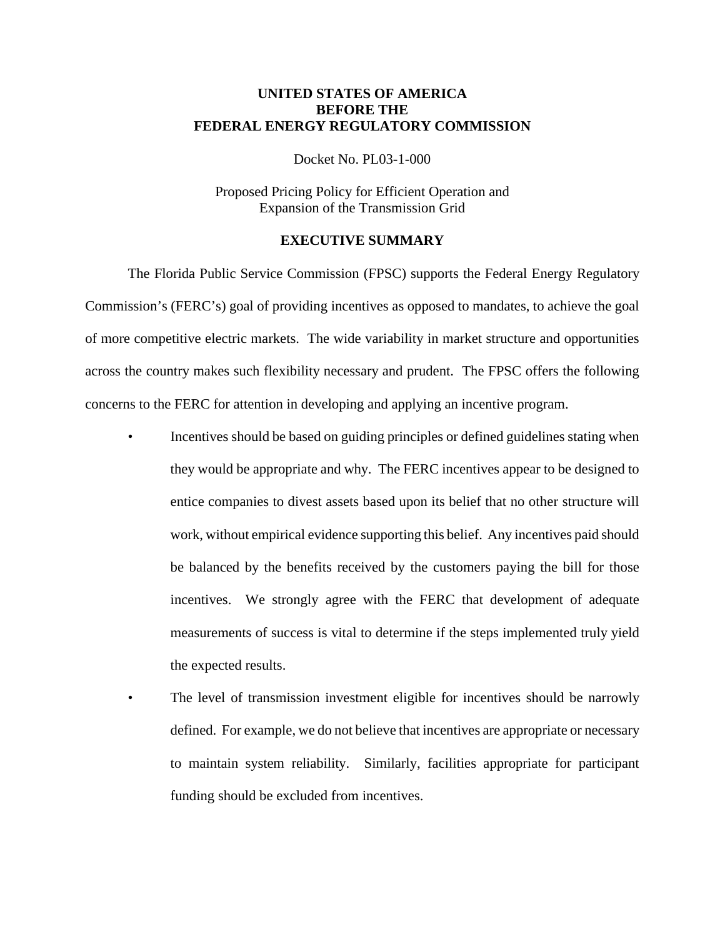## **UNITED STATES OF AMERICA BEFORE THE FEDERAL ENERGY REGULATORY COMMISSION**

Docket No. PL03-1-000

Proposed Pricing Policy for Efficient Operation and Expansion of the Transmission Grid

## **EXECUTIVE SUMMARY**

The Florida Public Service Commission (FPSC) supports the Federal Energy Regulatory Commission's (FERC's) goal of providing incentives as opposed to mandates, to achieve the goal of more competitive electric markets. The wide variability in market structure and opportunities across the country makes such flexibility necessary and prudent. The FPSC offers the following concerns to the FERC for attention in developing and applying an incentive program.

- Incentives should be based on guiding principles or defined guidelines stating when they would be appropriate and why. The FERC incentives appear to be designed to entice companies to divest assets based upon its belief that no other structure will work, without empirical evidence supporting this belief. Any incentives paid should be balanced by the benefits received by the customers paying the bill for those incentives. We strongly agree with the FERC that development of adequate measurements of success is vital to determine if the steps implemented truly yield the expected results.
- The level of transmission investment eligible for incentives should be narrowly defined. For example, we do not believe that incentives are appropriate or necessary to maintain system reliability. Similarly, facilities appropriate for participant funding should be excluded from incentives.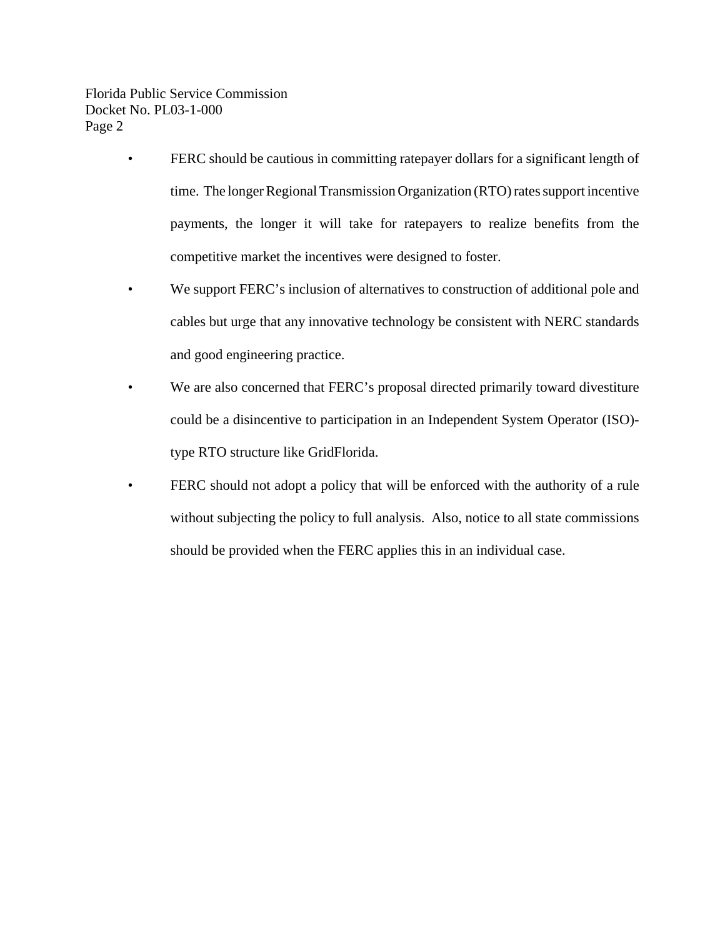- FERC should be cautious in committing ratepayer dollars for a significant length of time. The longer Regional Transmission Organization (RTO) rates support incentive payments, the longer it will take for ratepayers to realize benefits from the competitive market the incentives were designed to foster.
- We support FERC's inclusion of alternatives to construction of additional pole and cables but urge that any innovative technology be consistent with NERC standards and good engineering practice.
- We are also concerned that FERC's proposal directed primarily toward divestiture could be a disincentive to participation in an Independent System Operator (ISO) type RTO structure like GridFlorida.
- FERC should not adopt a policy that will be enforced with the authority of a rule without subjecting the policy to full analysis. Also, notice to all state commissions should be provided when the FERC applies this in an individual case.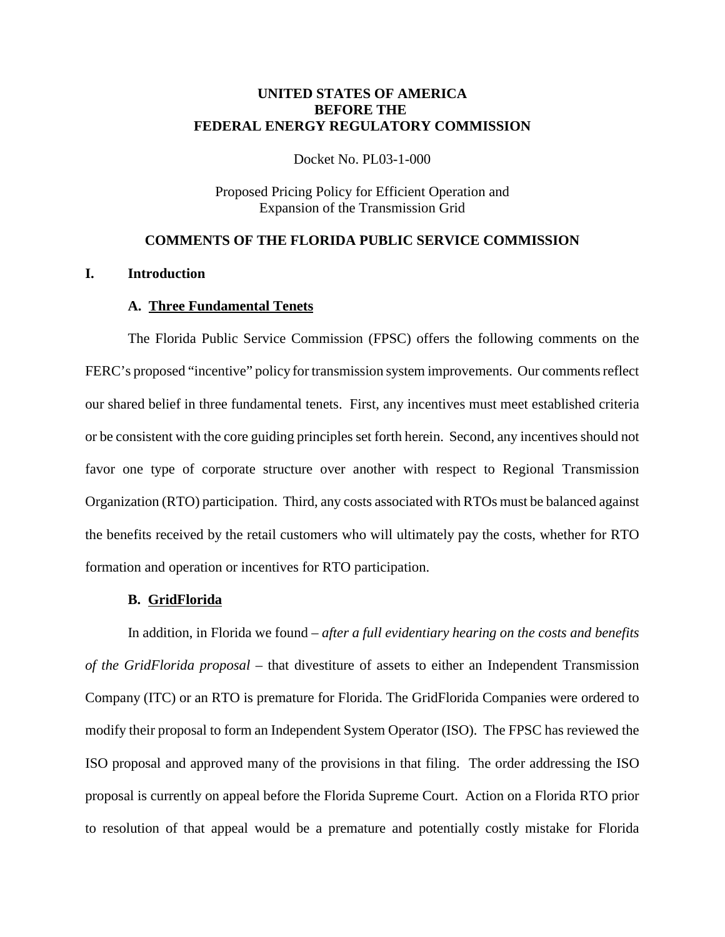## **UNITED STATES OF AMERICA BEFORE THE FEDERAL ENERGY REGULATORY COMMISSION**

Docket No. PL03-1-000

Proposed Pricing Policy for Efficient Operation and Expansion of the Transmission Grid

## **COMMENTS OF THE FLORIDA PUBLIC SERVICE COMMISSION**

## **I. Introduction**

#### **A. Three Fundamental Tenets**

The Florida Public Service Commission (FPSC) offers the following comments on the FERC's proposed "incentive" policy for transmission system improvements. Our comments reflect our shared belief in three fundamental tenets. First, any incentives must meet established criteria or be consistent with the core guiding principles set forth herein. Second, any incentives should not favor one type of corporate structure over another with respect to Regional Transmission Organization (RTO) participation. Third, any costs associated with RTOs must be balanced against the benefits received by the retail customers who will ultimately pay the costs, whether for RTO formation and operation or incentives for RTO participation.

#### **B. GridFlorida**

In addition, in Florida we found – *after a full evidentiary hearing on the costs and benefits of the GridFlorida proposal* – that divestiture of assets to either an Independent Transmission Company (ITC) or an RTO is premature for Florida. The GridFlorida Companies were ordered to modify their proposal to form an Independent System Operator (ISO). The FPSC has reviewed the ISO proposal and approved many of the provisions in that filing. The order addressing the ISO proposal is currently on appeal before the Florida Supreme Court. Action on a Florida RTO prior to resolution of that appeal would be a premature and potentially costly mistake for Florida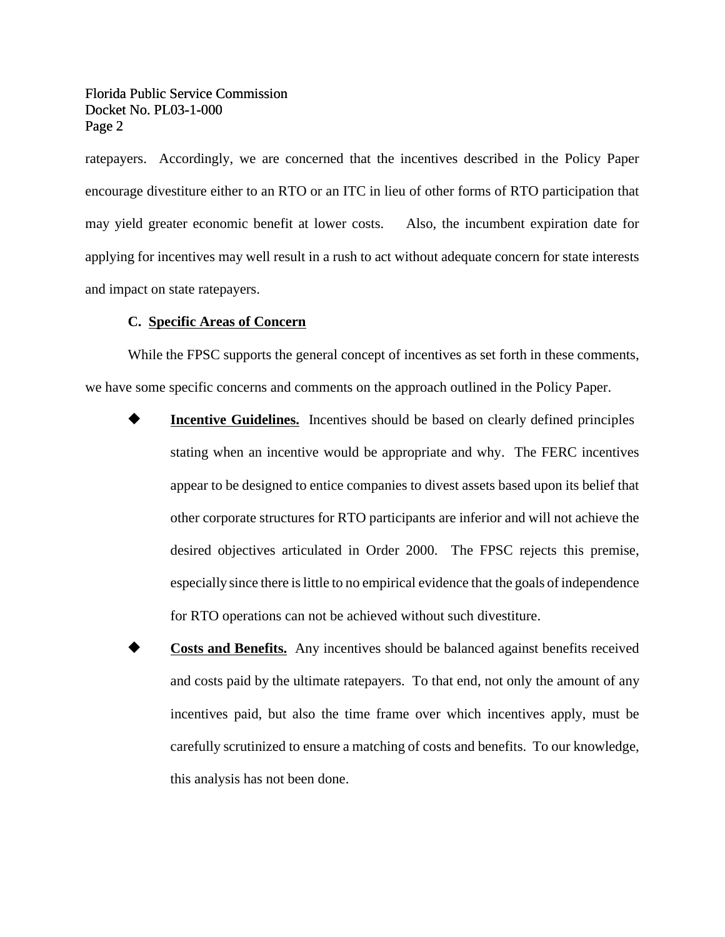ratepayers. Accordingly, we are concerned that the incentives described in the Policy Paper encourage divestiture either to an RTO or an ITC in lieu of other forms of RTO participation that may yield greater economic benefit at lower costs. Also, the incumbent expiration date for applying for incentives may well result in a rush to act without adequate concern for state interests and impact on state ratepayers.

## **C. Specific Areas of Concern**

While the FPSC supports the general concept of incentives as set forth in these comments, we have some specific concerns and comments on the approach outlined in the Policy Paper.

- **Incentive Guidelines.** Incentives should be based on clearly defined principles stating when an incentive would be appropriate and why. The FERC incentives appear to be designed to entice companies to divest assets based upon its belief that other corporate structures for RTO participants are inferior and will not achieve the desired objectives articulated in Order 2000. The FPSC rejects this premise, especially since there is little to no empirical evidence that the goals of independence for RTO operations can not be achieved without such divestiture.
- **Costs and Benefits.** Any incentives should be balanced against benefits received and costs paid by the ultimate ratepayers. To that end, not only the amount of any incentives paid, but also the time frame over which incentives apply, must be carefully scrutinized to ensure a matching of costs and benefits. To our knowledge, this analysis has not been done.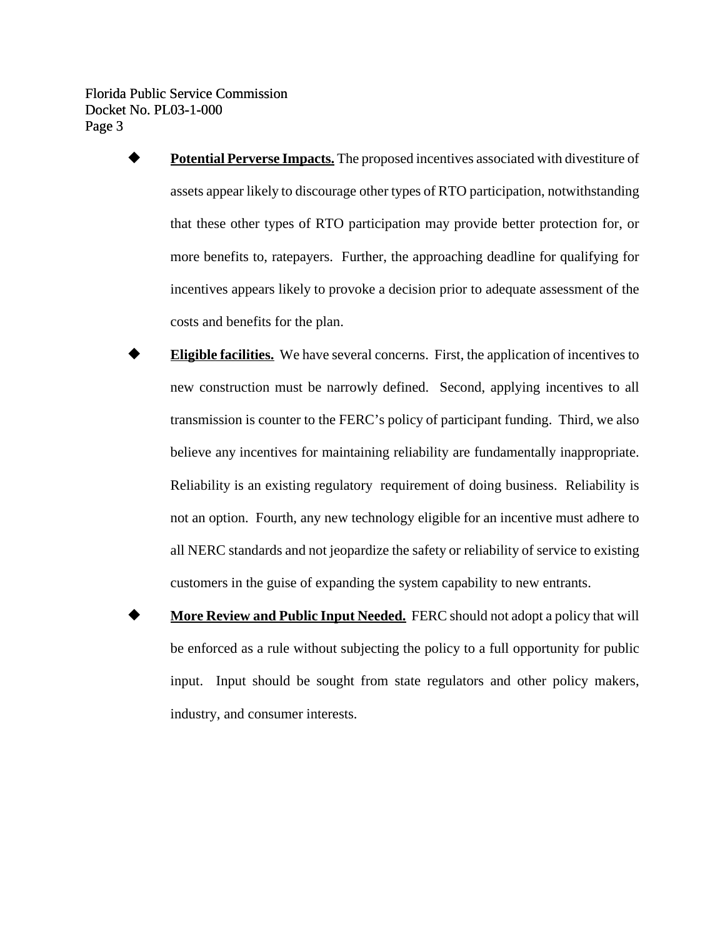- ó **Potential Perverse Impacts.** The proposed incentives associated with divestiture of assets appear likely to discourage other types of RTO participation, notwithstanding that these other types of RTO participation may provide better protection for, or more benefits to, ratepayers. Further, the approaching deadline for qualifying for incentives appears likely to provoke a decision prior to adequate assessment of the costs and benefits for the plan.
- ó **Eligible facilities.** We have several concerns. First, the application of incentives to new construction must be narrowly defined. Second, applying incentives to all transmission is counter to the FERC's policy of participant funding. Third, we also believe any incentives for maintaining reliability are fundamentally inappropriate. Reliability is an existing regulatory requirement of doing business. Reliability is not an option. Fourth, any new technology eligible for an incentive must adhere to all NERC standards and not jeopardize the safety or reliability of service to existing customers in the guise of expanding the system capability to new entrants.
- **More Review and Public Input Needed.** FERC should not adopt a policy that will be enforced as a rule without subjecting the policy to a full opportunity for public input. Input should be sought from state regulators and other policy makers, industry, and consumer interests.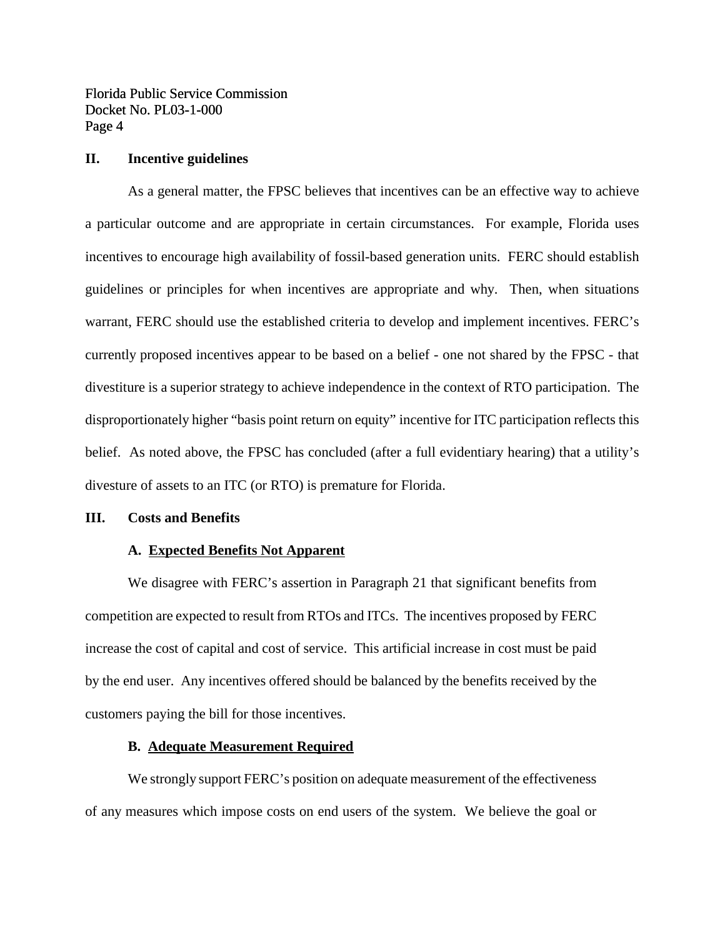#### **II. Incentive guidelines**

As a general matter, the FPSC believes that incentives can be an effective way to achieve a particular outcome and are appropriate in certain circumstances. For example, Florida uses incentives to encourage high availability of fossil-based generation units. FERC should establish guidelines or principles for when incentives are appropriate and why. Then, when situations warrant, FERC should use the established criteria to develop and implement incentives. FERC's currently proposed incentives appear to be based on a belief - one not shared by the FPSC - that divestiture is a superior strategy to achieve independence in the context of RTO participation. The disproportionately higher "basis point return on equity" incentive for ITC participation reflects this belief. As noted above, the FPSC has concluded (after a full evidentiary hearing) that a utility's divesture of assets to an ITC (or RTO) is premature for Florida.

#### **III. Costs and Benefits**

#### **A. Expected Benefits Not Apparent**

We disagree with FERC's assertion in Paragraph 21 that significant benefits from competition are expected to result from RTOs and ITCs. The incentives proposed by FERC increase the cost of capital and cost of service. This artificial increase in cost must be paid by the end user. Any incentives offered should be balanced by the benefits received by the customers paying the bill for those incentives.

#### **B. Adequate Measurement Required**

We strongly support FERC's position on adequate measurement of the effectiveness of any measures which impose costs on end users of the system. We believe the goal or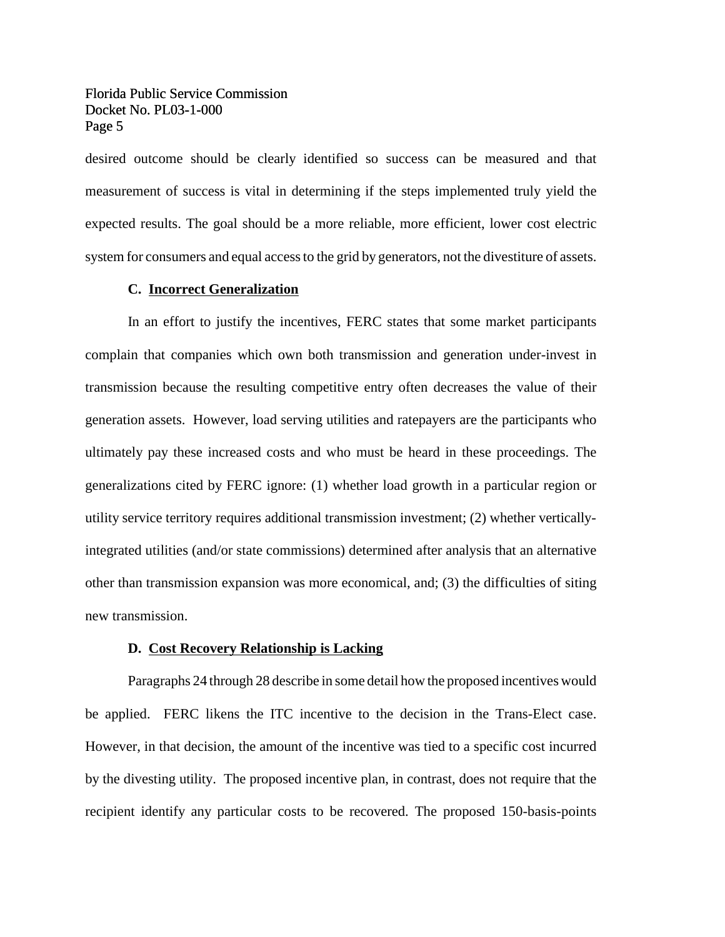desired outcome should be clearly identified so success can be measured and that measurement of success is vital in determining if the steps implemented truly yield the expected results. The goal should be a more reliable, more efficient, lower cost electric system for consumers and equal accessto the grid by generators, not the divestiture of assets.

#### **C. Incorrect Generalization**

In an effort to justify the incentives, FERC states that some market participants complain that companies which own both transmission and generation under-invest in transmission because the resulting competitive entry often decreases the value of their generation assets. However, load serving utilities and ratepayers are the participants who ultimately pay these increased costs and who must be heard in these proceedings. The generalizations cited by FERC ignore: (1) whether load growth in a particular region or utility service territory requires additional transmission investment; (2) whether verticallyintegrated utilities (and/or state commissions) determined after analysis that an alternative other than transmission expansion was more economical, and; (3) the difficulties of siting new transmission.

#### **D. Cost Recovery Relationship is Lacking**

Paragraphs 24 through 28 describe in some detail how the proposed incentives would be applied. FERC likens the ITC incentive to the decision in the Trans-Elect case. However, in that decision, the amount of the incentive was tied to a specific cost incurred by the divesting utility. The proposed incentive plan, in contrast, does not require that the recipient identify any particular costs to be recovered. The proposed 150-basis-points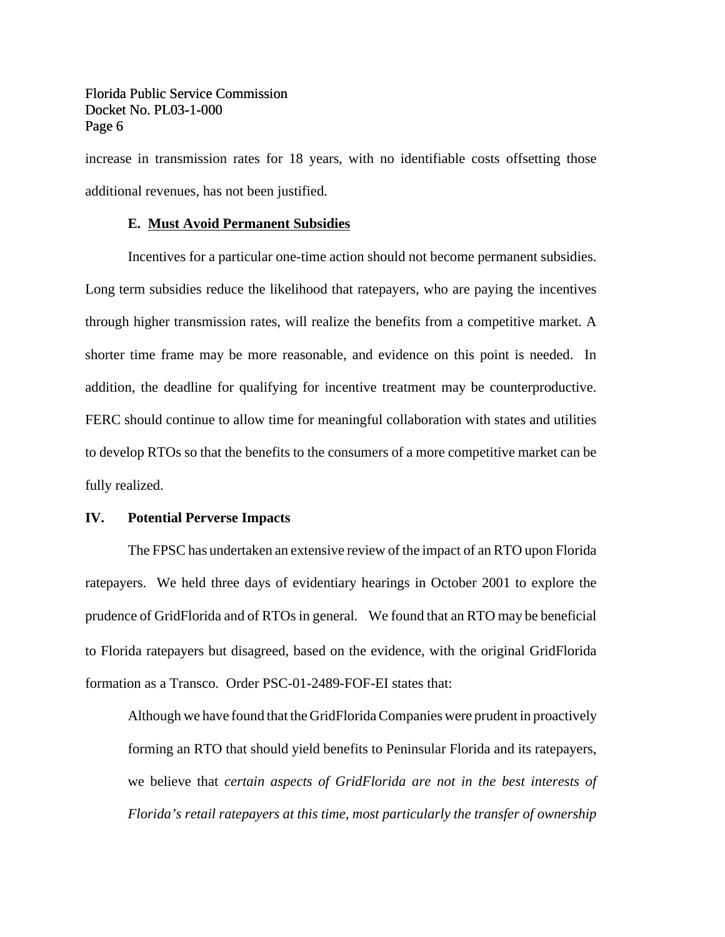increase in transmission rates for 18 years, with no identifiable costs offsetting those additional revenues, has not been justified.

## **E. Must Avoid Permanent Subsidies**

Incentives for a particular one-time action should not become permanent subsidies. Long term subsidies reduce the likelihood that ratepayers, who are paying the incentives through higher transmission rates, will realize the benefits from a competitive market. A shorter time frame may be more reasonable, and evidence on this point is needed. In addition, the deadline for qualifying for incentive treatment may be counterproductive. FERC should continue to allow time for meaningful collaboration with states and utilities to develop RTOs so that the benefits to the consumers of a more competitive market can be fully realized.

#### **IV. Potential Perverse Impacts**

The FPSC has undertaken an extensive review of the impact of an RTO upon Florida ratepayers. We held three days of evidentiary hearings in October 2001 to explore the prudence of GridFlorida and of RTOs in general. We found that an RTO may be beneficial to Florida ratepayers but disagreed, based on the evidence, with the original GridFlorida formation as a Transco. Order PSC-01-2489-FOF-EI states that:

Although we have found that the GridFlorida Companies were prudent in proactively forming an RTO that should yield benefits to Peninsular Florida and its ratepayers, we believe that *certain aspects of GridFlorida are not in the best interests of Florida's retail ratepayers at this time, most particularly the transfer of ownership*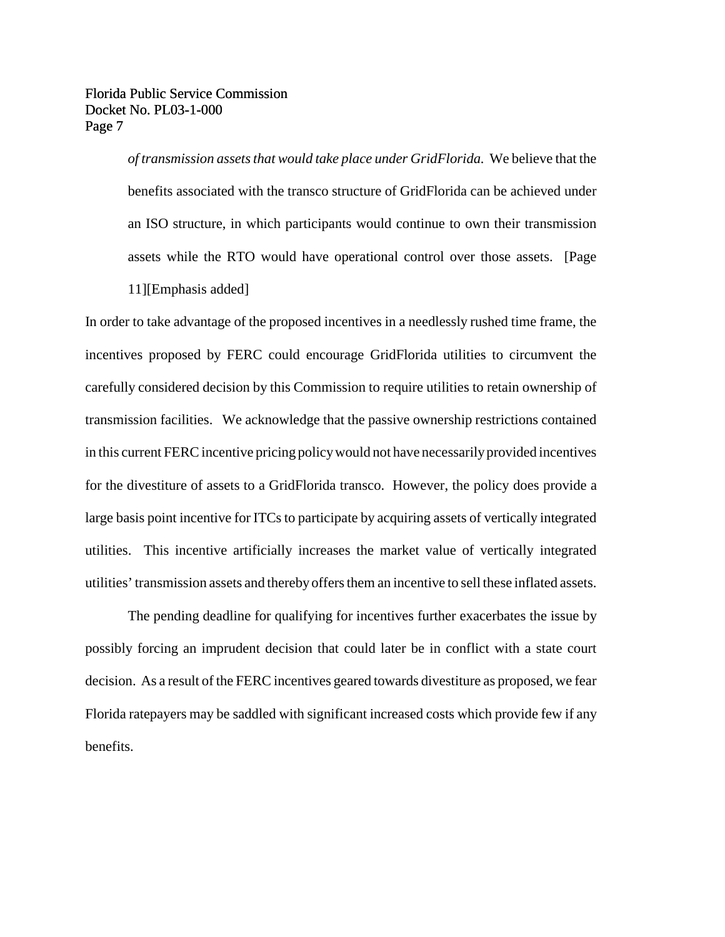> *of transmission assetsthat would take place under GridFlorida.* We believe that the benefits associated with the transco structure of GridFlorida can be achieved under an ISO structure, in which participants would continue to own their transmission assets while the RTO would have operational control over those assets. [Page 11][Emphasis added]

In order to take advantage of the proposed incentives in a needlessly rushed time frame, the incentives proposed by FERC could encourage GridFlorida utilities to circumvent the carefully considered decision by this Commission to require utilities to retain ownership of transmission facilities. We acknowledge that the passive ownership restrictions contained in this current FERC incentive pricing policy would not have necessarily provided incentives for the divestiture of assets to a GridFlorida transco. However, the policy does provide a large basis point incentive for ITCs to participate by acquiring assets of vertically integrated utilities. This incentive artificially increases the market value of vertically integrated utilities'transmission assets and thereby offersthem an incentive to sell these inflated assets.

The pending deadline for qualifying for incentives further exacerbates the issue by possibly forcing an imprudent decision that could later be in conflict with a state court decision. As a result of the FERC incentives geared towards divestiture as proposed, we fear Florida ratepayers may be saddled with significant increased costs which provide few if any benefits.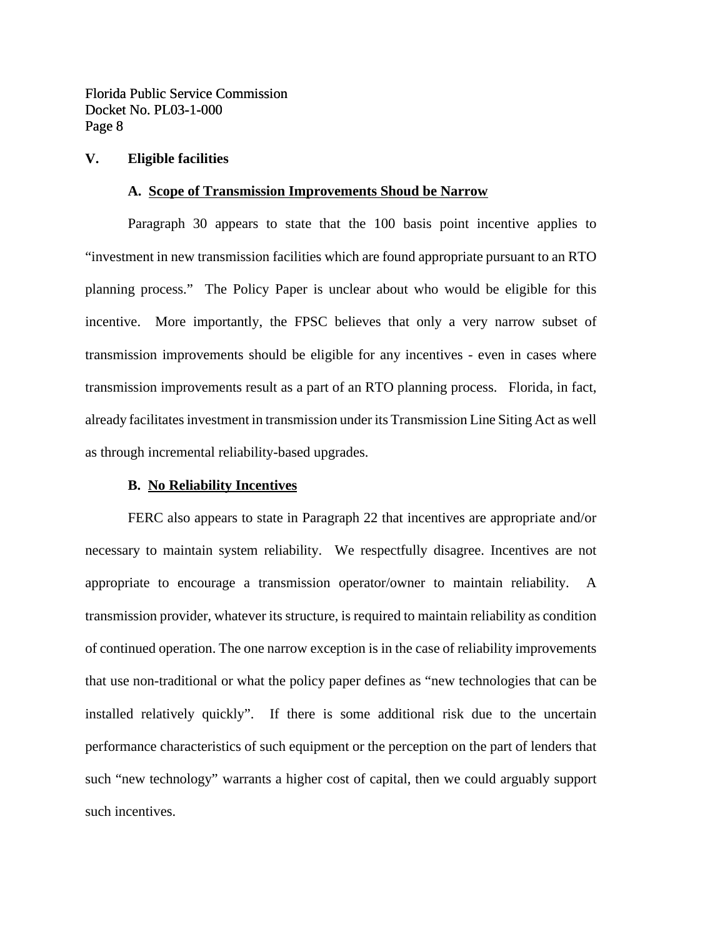## **V. Eligible facilities**

#### **A. Scope of Transmission Improvements Shoud be Narrow**

Paragraph 30 appears to state that the 100 basis point incentive applies to "investment in new transmission facilities which are found appropriate pursuant to an RTO planning process." The Policy Paper is unclear about who would be eligible for this incentive. More importantly, the FPSC believes that only a very narrow subset of transmission improvements should be eligible for any incentives - even in cases where transmission improvements result as a part of an RTO planning process. Florida, in fact, already facilitates investment in transmission under its Transmission Line Siting Act as well as through incremental reliability-based upgrades.

#### **B. No Reliability Incentives**

FERC also appears to state in Paragraph 22 that incentives are appropriate and/or necessary to maintain system reliability. We respectfully disagree. Incentives are not appropriate to encourage a transmission operator/owner to maintain reliability. A transmission provider, whatever its structure, is required to maintain reliability as condition of continued operation. The one narrow exception is in the case of reliability improvements that use non-traditional or what the policy paper defines as "new technologies that can be installed relatively quickly". If there is some additional risk due to the uncertain performance characteristics of such equipment or the perception on the part of lenders that such "new technology" warrants a higher cost of capital, then we could arguably support such incentives.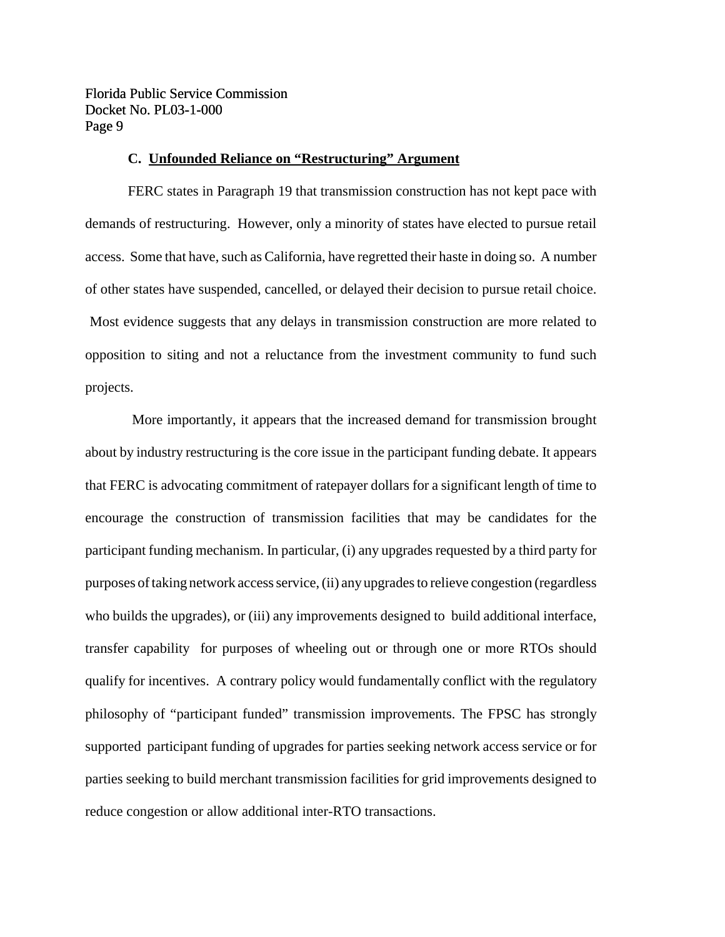## **C. Unfounded Reliance on "Restructuring" Argument**

FERC states in Paragraph 19 that transmission construction has not kept pace with demands of restructuring. However, only a minority of states have elected to pursue retail access. Some that have, such as California, have regretted their haste in doing so. A number of other states have suspended, cancelled, or delayed their decision to pursue retail choice. Most evidence suggests that any delays in transmission construction are more related to opposition to siting and not a reluctance from the investment community to fund such projects.

More importantly, it appears that the increased demand for transmission brought about by industry restructuring is the core issue in the participant funding debate. It appears that FERC is advocating commitment of ratepayer dollars for a significant length of time to encourage the construction of transmission facilities that may be candidates for the participant funding mechanism. In particular, (i) any upgrades requested by a third party for purposes of taking network access service, (ii) any upgrades to relieve congestion (regardless who builds the upgrades), or (iii) any improvements designed to build additional interface, transfer capability for purposes of wheeling out or through one or more RTOs should qualify for incentives. A contrary policy would fundamentally conflict with the regulatory philosophy of "participant funded" transmission improvements. The FPSC has strongly supported participant funding of upgrades for parties seeking network access service or for parties seeking to build merchant transmission facilities for grid improvements designed to reduce congestion or allow additional inter-RTO transactions.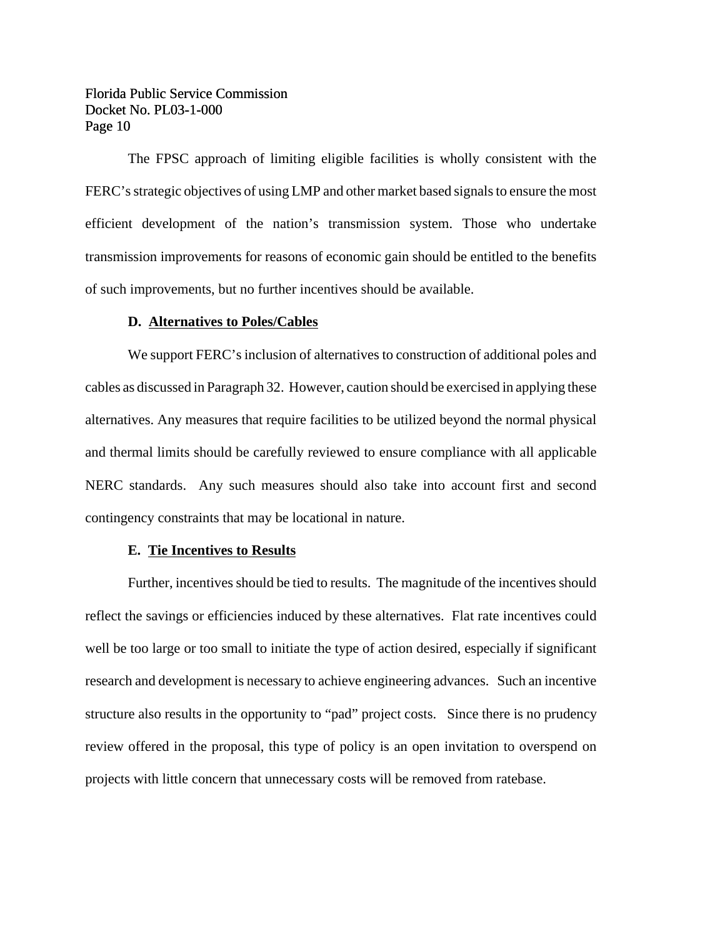The FPSC approach of limiting eligible facilities is wholly consistent with the FERC's strategic objectives of using LMP and other market based signals to ensure the most efficient development of the nation's transmission system. Those who undertake transmission improvements for reasons of economic gain should be entitled to the benefits of such improvements, but no further incentives should be available.

#### **D. Alternatives to Poles/Cables**

We support FERC's inclusion of alternatives to construction of additional poles and cables as discussed in Paragraph 32. However, caution should be exercised in applying these alternatives. Any measures that require facilities to be utilized beyond the normal physical and thermal limits should be carefully reviewed to ensure compliance with all applicable NERC standards. Any such measures should also take into account first and second contingency constraints that may be locational in nature.

#### **E. Tie Incentives to Results**

Further, incentives should be tied to results. The magnitude of the incentives should reflect the savings or efficiencies induced by these alternatives. Flat rate incentives could well be too large or too small to initiate the type of action desired, especially if significant research and development is necessary to achieve engineering advances. Such an incentive structure also results in the opportunity to "pad" project costs. Since there is no prudency review offered in the proposal, this type of policy is an open invitation to overspend on projects with little concern that unnecessary costs will be removed from ratebase.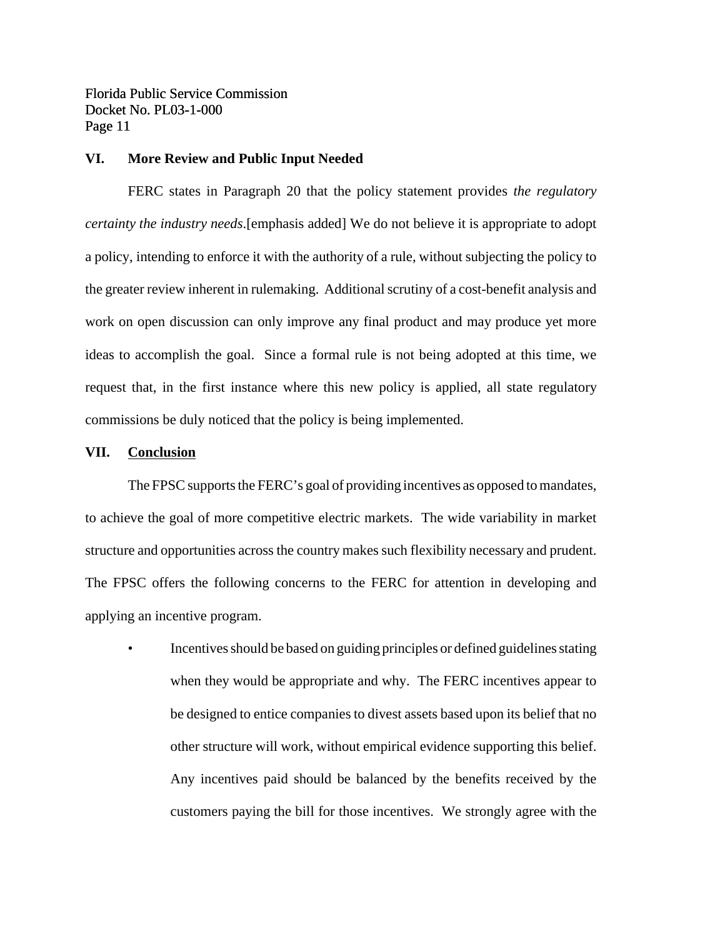#### **VI. More Review and Public Input Needed**

FERC states in Paragraph 20 that the policy statement provides *the regulatory certainty the industry needs*.[emphasis added] We do not believe it is appropriate to adopt a policy, intending to enforce it with the authority of a rule, without subjecting the policy to the greater review inherent in rulemaking. Additional scrutiny of a cost-benefit analysis and work on open discussion can only improve any final product and may produce yet more ideas to accomplish the goal. Since a formal rule is not being adopted at this time, we request that, in the first instance where this new policy is applied, all state regulatory commissions be duly noticed that the policy is being implemented.

#### **VII. Conclusion**

The FPSC supports the FERC's goal of providing incentives as opposed to mandates, to achieve the goal of more competitive electric markets. The wide variability in market structure and opportunities across the country makes such flexibility necessary and prudent. The FPSC offers the following concerns to the FERC for attention in developing and applying an incentive program.

• Incentivesshould be based on guiding principles or defined guidelines stating when they would be appropriate and why. The FERC incentives appear to be designed to entice companies to divest assets based upon its belief that no other structure will work, without empirical evidence supporting this belief. Any incentives paid should be balanced by the benefits received by the customers paying the bill for those incentives. We strongly agree with the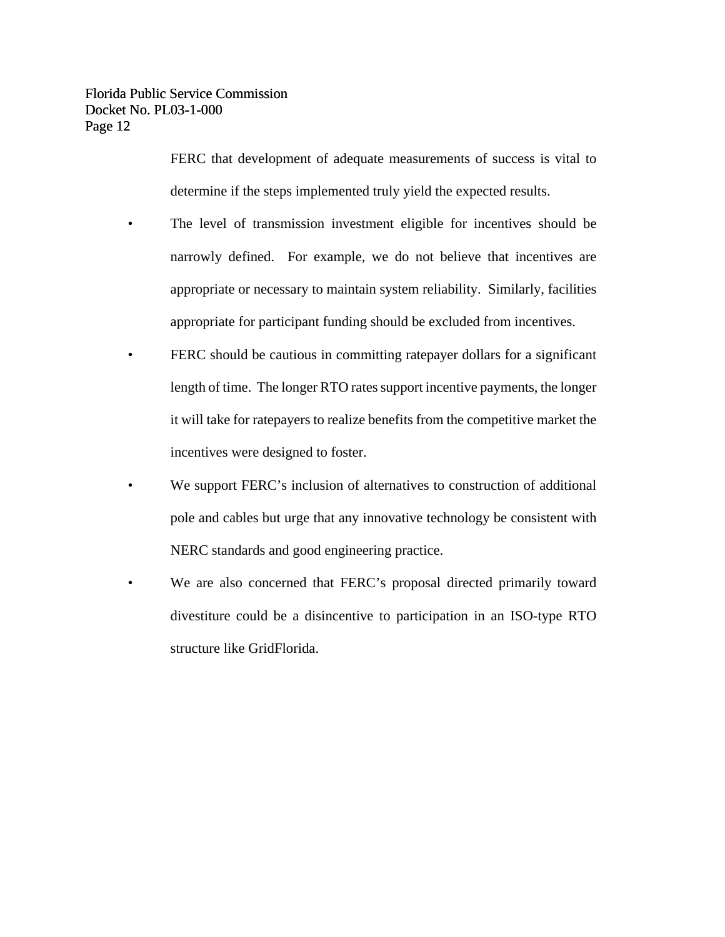FERC that development of adequate measurements of success is vital to determine if the steps implemented truly yield the expected results.

- The level of transmission investment eligible for incentives should be narrowly defined. For example, we do not believe that incentives are appropriate or necessary to maintain system reliability. Similarly, facilities appropriate for participant funding should be excluded from incentives.
- FERC should be cautious in committing ratepayer dollars for a significant length of time. The longer RTO rates support incentive payments, the longer it will take for ratepayers to realize benefits from the competitive market the incentives were designed to foster.
- We support FERC's inclusion of alternatives to construction of additional pole and cables but urge that any innovative technology be consistent with NERC standards and good engineering practice.
- We are also concerned that FERC's proposal directed primarily toward divestiture could be a disincentive to participation in an ISO-type RTO structure like GridFlorida.